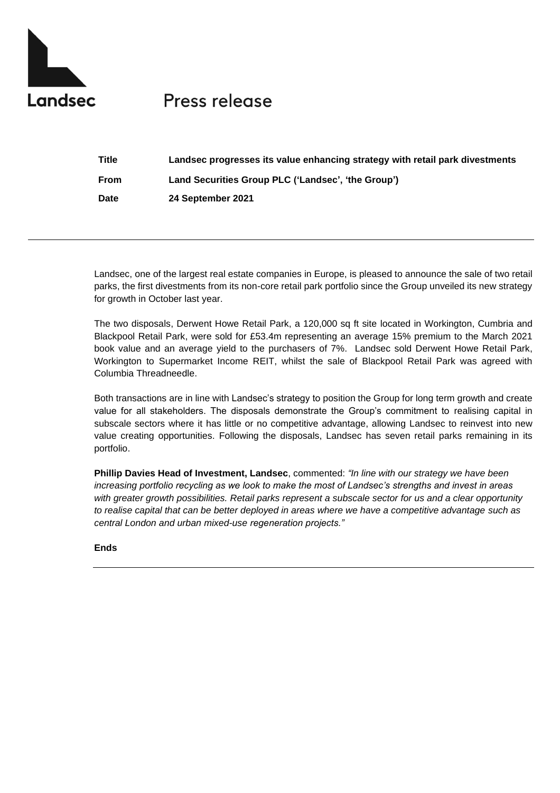

## **Press release**

| Title       | Landsec progresses its value enhancing strategy with retail park divestments |
|-------------|------------------------------------------------------------------------------|
| <b>From</b> | Land Securities Group PLC ('Landsec', 'the Group')                           |
| Date        | 24 September 2021                                                            |

Landsec, one of the largest real estate companies in Europe, is pleased to announce the sale of two retail parks, the first divestments from its non-core retail park portfolio since the Group unveiled its new strategy for growth in October last year.

The two disposals, Derwent Howe Retail Park, a 120,000 sq ft site located in Workington, Cumbria and Blackpool Retail Park, were sold for £53.4m representing an average 15% premium to the March 2021 book value and an average yield to the purchasers of 7%. Landsec sold Derwent Howe Retail Park, Workington to Supermarket Income REIT, whilst the sale of Blackpool Retail Park was agreed with Columbia Threadneedle.

Both transactions are in line with Landsec's strategy to position the Group for long term growth and create value for all stakeholders. The disposals demonstrate the Group's commitment to realising capital in subscale sectors where it has little or no competitive advantage, allowing Landsec to reinvest into new value creating opportunities. Following the disposals, Landsec has seven retail parks remaining in its portfolio.

**Phillip Davies Head of Investment, Landsec**, commented: *"In line with our strategy we have been increasing portfolio recycling as we look to make the most of Landsec's strengths and invest in areas with greater growth possibilities. Retail parks represent a subscale sector for us and a clear opportunity to realise capital that can be better deployed in areas where we have a competitive advantage such as central London and urban mixed-use regeneration projects."*

**Ends**